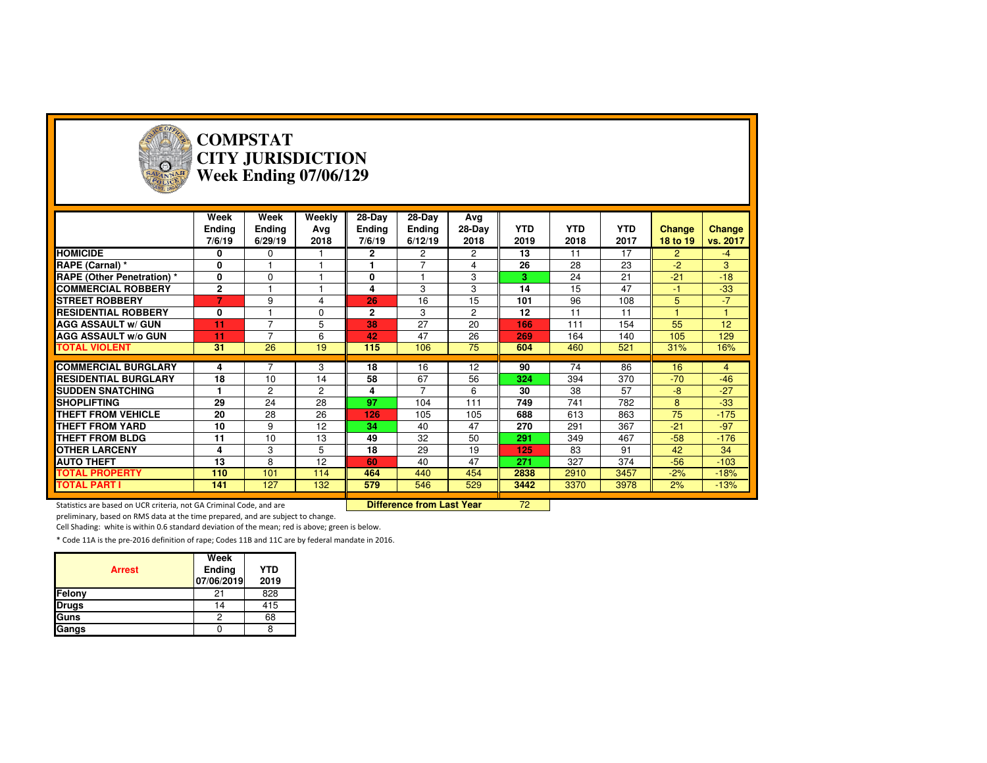

#### **COMPSTAT CITY JURISDICTIONWeek Ending 07/06/129**

|                                  | Week           | Week           | Weekly         | 28-Day        | 28-Day         | Avg      |            |            |            |                |               |
|----------------------------------|----------------|----------------|----------------|---------------|----------------|----------|------------|------------|------------|----------------|---------------|
|                                  | <b>Ending</b>  | <b>Ending</b>  | Ava            | <b>Ending</b> | Ending         | $28-Dav$ | <b>YTD</b> | <b>YTD</b> | <b>YTD</b> | <b>Change</b>  | <b>Change</b> |
|                                  | 7/6/19         | 6/29/19        | 2018           | 7/6/19        | 6/12/19        | 2018     | 2019       | 2018       | 2017       | 18 to 19       | vs. 2017      |
| <b>HOMICIDE</b>                  | 0              | $\Omega$       |                | $\mathbf{2}$  | $\overline{2}$ | 2        | 13         | 11         | 17         | $\overline{2}$ | $-4$          |
| RAPE (Carnal) *                  | 0              |                |                | 1             | $\overline{7}$ | 4        | 26         | 28         | 23         | $-2$           | 3             |
| <b>RAPE (Other Penetration)*</b> | 0              | $\Omega$       |                | 0             |                | 3        | з          | 24         | 21         | $-21$          | $-18$         |
| <b>COMMERCIAL ROBBERY</b>        | $\mathbf{2}$   |                |                | 4             | 3              | 3        | 14         | 15         | 47         | $-1$           | $-33$         |
| <b>STREET ROBBERY</b>            | $\overline{7}$ | 9              | 4              | 26            | 16             | 15       | 101        | 96         | 108        | 5              | $-7$          |
| <b>RESIDENTIAL ROBBERY</b>       | 0              |                | $\Omega$       | $\mathbf{2}$  | 3              | 2        | 12         | 11         | 11         |                |               |
| <b>AGG ASSAULT w/ GUN</b>        | 11             | $\overline{7}$ | 5              | 38            | 27             | 20       | 166        | 111        | 154        | 55             | 12            |
| <b>AGG ASSAULT w/o GUN</b>       | 11             | $\overline{7}$ | 6              | 42            | 47             | 26       | 269        | 164        | 140        | 105            | 129           |
| <b>TOTAL VIOLENT</b>             | 31             | 26             | 19             | 115           | 106            | 75       | 604        | 460        | 521        | 31%            | 16%           |
|                                  |                |                |                |               |                |          |            |            |            |                |               |
| <b>COMMERCIAL BURGLARY</b>       | 4              |                | 3              | 18            | 16             | 12       | 90         | 74         | 86         | 16             | 4             |
| <b>RESIDENTIAL BURGLARY</b>      | 18             | 10             | 14             | 58            | 67             | 56       | 324        | 394        | 370        | $-70$          | $-46$         |
| <b>SUDDEN SNATCHING</b>          |                | $\overline{c}$ | $\overline{2}$ | 4             | $\overline{7}$ | 6        | 30         | 38         | 57         | $-8$           | $-27$         |
| <b>SHOPLIFTING</b>               | 29             | 24             | 28             | 97            | 104            | 111      | 749        | 741        | 782        | 8              | $-33$         |
| <b>THEFT FROM VEHICLE</b>        | 20             | 28             | 26             | 126           | 105            | 105      | 688        | 613        | 863        | 75             | $-175$        |
| <b>THEFT FROM YARD</b>           | 10             | 9              | 12             | 34            | 40             | 47       | 270        | 291        | 367        | $-21$          | $-97$         |
| <b>THEFT FROM BLDG</b>           | 11             | 10             | 13             | 49            | 32             | 50       | 291        | 349        | 467        | $-58$          | $-176$        |
| <b>OTHER LARCENY</b>             | 4              | 3              | 5              | 18            | 29             | 19       | 125        | 83         | 91         | 42             | 34            |
| <b>AUTO THEFT</b>                | 13             | 8              | 12             | 60            | 40             | 47       | 271        | 327        | 374        | $-56$          | $-103$        |
| <b>TOTAL PROPERTY</b>            | 110            | 101            | 114            | 464           | 440            | 454      | 2838       | 2910       | 3457       | $-2%$          | $-18%$        |
| <b>TOTAL PART I</b>              | 141            | 127            | 132            | 579           | 546            | 529      | 3442       | 3370       | 3978       | 2%             | $-13%$        |

<sup>72</sup>

Statistics are based on UCR criteria, not GA Criminal Code, and are **Difference from Last Year** 

preliminary, based on RMS data at the time prepared, and are subject to change.

Cell Shading: white is within 0.6 standard deviation of the mean; red is above; green is below.

|               | Week                 |                    |
|---------------|----------------------|--------------------|
| <b>Arrest</b> | Ending<br>07/06/2019 | <b>YTD</b><br>2019 |
| Felony        | 21                   | 828                |
| <b>Drugs</b>  | 14                   | 415                |
| Guns          |                      | 68                 |
| Gangs         |                      |                    |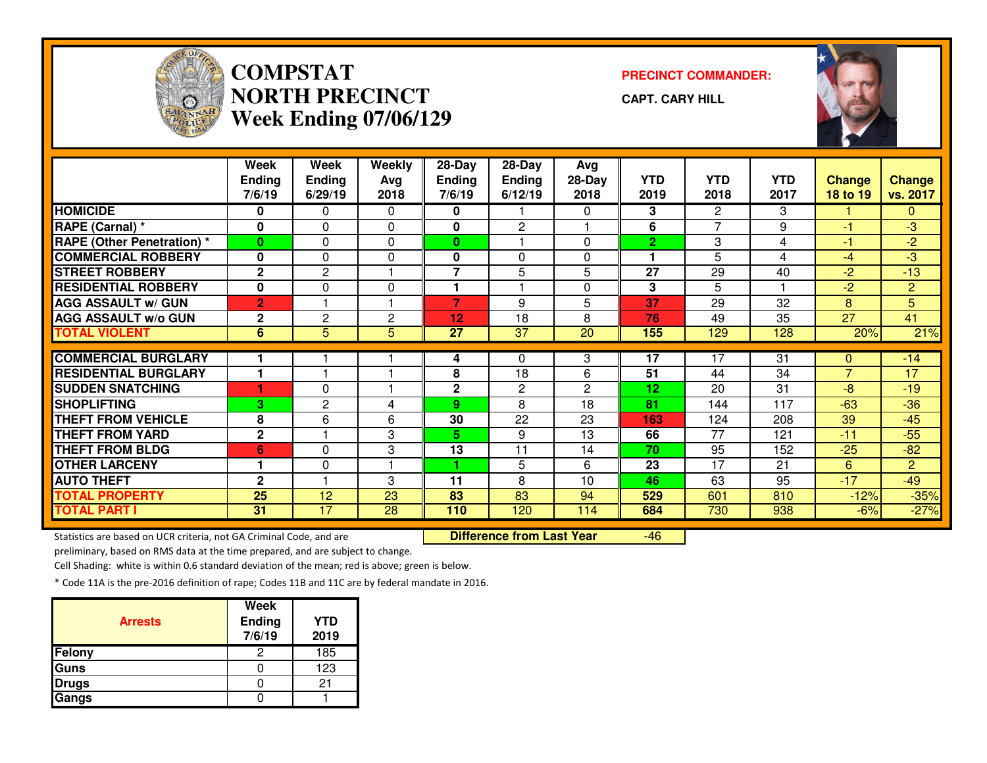

### **COMPSTATNORTH PRECINCTWeek Ending 07/06/129**

**PRECINCT COMMANDER:**

**CAPT. CARY HILL**

-46



|                                   | Week           | <b>Week</b>    | <b>Weekly</b>  | $28-Day$       | 28-Day         | Avg                   |                |                       |            |                 |                 |
|-----------------------------------|----------------|----------------|----------------|----------------|----------------|-----------------------|----------------|-----------------------|------------|-----------------|-----------------|
|                                   | <b>Ending</b>  | <b>Ending</b>  | Avg            | <b>Ending</b>  | <b>Ending</b>  | 28-Day                | <b>YTD</b>     | <b>YTD</b>            | <b>YTD</b> | <b>Change</b>   | <b>Change</b>   |
|                                   | 7/6/19         | 6/29/19        | 2018           | 7/6/19         | 6/12/19        | 2018                  | 2019           | 2018                  | 2017       | <b>18 to 19</b> | vs. 2017        |
| <b>HOMICIDE</b>                   | 0              | 0              | 0              | 0              |                | 0                     | 3              | $\mathbf{2}^{\prime}$ | 3          |                 | 0               |
| RAPE (Carnal) *                   | 0              | 0              | $\Omega$       | 0              | $\overline{2}$ |                       | 6              | 7                     | 9          | -1              | $-3$            |
| <b>RAPE (Other Penetration) *</b> | $\bf{0}$       | $\Omega$       | 0              | $\mathbf{0}$   |                | $\Omega$              | $\overline{2}$ | 3                     | 4          | -1              | $-2$            |
| <b>COMMERCIAL ROBBERY</b>         | 0              | $\Omega$       | 0              | 0              | $\Omega$       | $\Omega$              | 1              | 5                     | 4          | $-4$            | $-3$            |
| <b>STREET ROBBERY</b>             | $\mathbf{2}$   | $\overline{2}$ |                | $\overline{7}$ | 5              | 5                     | 27             | 29                    | 40         | $-2$            | $-13$           |
| <b>RESIDENTIAL ROBBERY</b>        | $\mathbf{0}$   | 0              | 0              | 1              |                | $\Omega$              | 3              | 5                     |            | $-2$            | $\overline{2}$  |
| <b>AGG ASSAULT w/ GUN</b>         | $\overline{2}$ |                |                | $\overline{7}$ | 9              | 5                     | 37             | 29                    | 32         | 8               | 5               |
| <b>AGG ASSAULT W/o GUN</b>        | $\mathbf{2}$   | $\overline{2}$ | $\overline{2}$ | 12             | 18             | 8                     | 76             | 49                    | 35         | $\overline{27}$ | $\overline{41}$ |
| <b>TOTAL VIOLENT</b>              | 6              | 5              | 5              | 27             | 37             | 20                    | 155            | 129                   | 128        | 20%             | 21%             |
|                                   |                |                |                |                |                |                       |                |                       |            |                 |                 |
| <b>COMMERCIAL BURGLARY</b>        |                |                |                | 4              | 0              | 3                     | 17             | 17                    | 31         | 0               | $-14$           |
| <b>RESIDENTIAL BURGLARY</b>       |                |                |                | 8              | 18             | 6                     | 51             | 44                    | 34         | $\overline{7}$  | 17              |
| <b>SUDDEN SNATCHING</b>           | 1              | 0              |                | 2              | $\overline{2}$ | $\mathbf{2}^{\prime}$ | 12             | 20                    | 31         | $-8$            | $-19$           |
| <b>SHOPLIFTING</b>                | 3              | 2              | 4              | 9.             | 8              | 18                    | 81             | 144                   | 117        | $-63$           | $-36$           |
| <b>THEFT FROM VEHICLE</b>         | 8              | 6              | 6              | 30             | 22             | 23                    | 163            | 124                   | 208        | 39              | $-45$           |
| <b>THEFT FROM YARD</b>            | $\mathbf{2}$   |                | 3              | 5.             | 9              | 13                    | 66             | 77                    | 121        | $-11$           | $-55$           |
| <b>THEFT FROM BLDG</b>            | 6              | 0              | 3              | 13             | 11             | 14                    | 70             | 95                    | 152        | $-25$           | $-82$           |
| <b>OTHER LARCENY</b>              |                | 0              |                |                | 5              | 6                     | 23             | 17                    | 21         | 6               | $\overline{2}$  |
| <b>AUTO THEFT</b>                 | $\mathbf{2}$   |                | 3              | 11             | 8              | 10                    | 46             | 63                    | 95         | $-17$           | $-49$           |
| <b>TOTAL PROPERTY</b>             | 25             | 12             | 23             | 83             | 83             | 94                    | 529            | 601                   | 810        | $-12%$          | $-35%$          |
| <b>TOTAL PART I</b>               | 31             | 17             | 28             | 110            | 120            | 114                   | 684            | 730                   | 938        | $-6%$           | $-27%$          |

Statistics are based on UCR criteria, not GA Criminal Code, and are **Difference from Last Year** 

preliminary, based on RMS data at the time prepared, and are subject to change.

Cell Shading: white is within 0.6 standard deviation of the mean; red is above; green is below.

| <b>Arrests</b> | <b>Week</b><br>Ending<br>7/6/19 | <b>YTD</b><br>2019 |
|----------------|---------------------------------|--------------------|
| Felony         | 2                               | 185                |
| <b>Guns</b>    |                                 | 123                |
| <b>Drugs</b>   |                                 | 21                 |
| Gangs          |                                 |                    |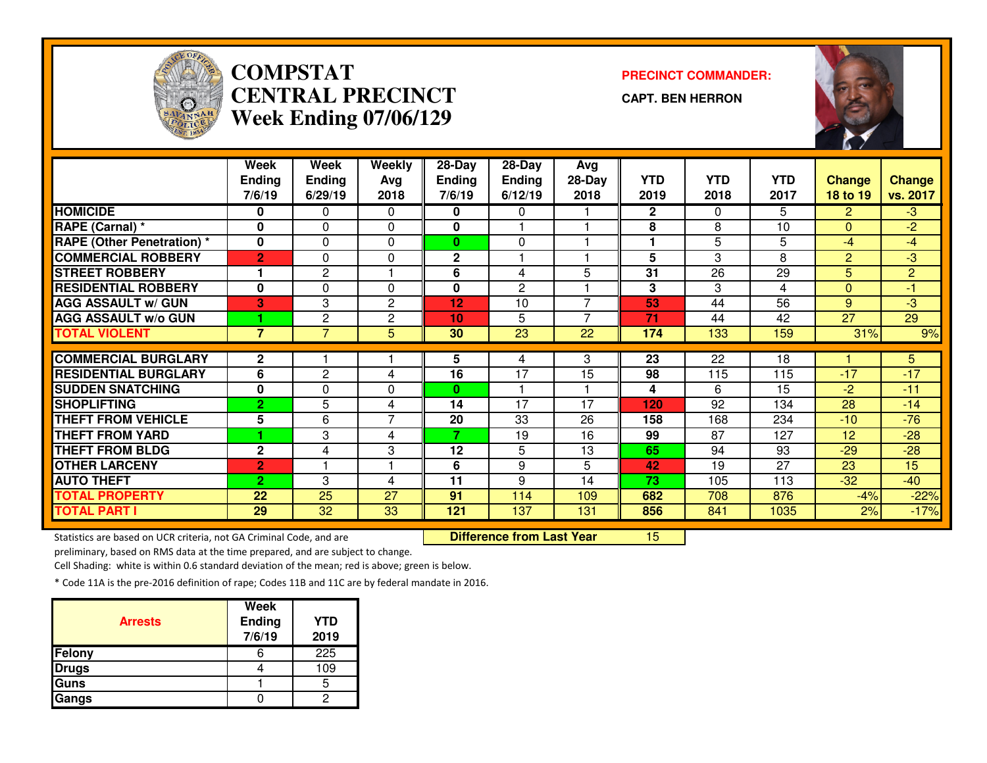

## **COMPSTAT PRECINCT COMMANDER: CENTRAL PRECINCTWeek Ending 07/06/129**

**CAPT. BEN HERRON**

<sup>15</sup>



|                                   | Week           | Week            | Weekly       | 28-Day        | 28-Day         | Avg                      |              |                 |            |                |                 |
|-----------------------------------|----------------|-----------------|--------------|---------------|----------------|--------------------------|--------------|-----------------|------------|----------------|-----------------|
|                                   | <b>Ending</b>  | <b>Ending</b>   | Avg          | <b>Ending</b> | <b>Ending</b>  | 28-Day                   | <b>YTD</b>   | <b>YTD</b>      | <b>YTD</b> | <b>Change</b>  | <b>Change</b>   |
|                                   | 7/6/19         | 6/29/19         | 2018         | 7/6/19        | 6/12/19        | 2018                     | 2019         | 2018            | 2017       | 18 to 19       | vs. 2017        |
| <b>HOMICIDE</b>                   | 0              | 0               | $\Omega$     | 0             | $\mathbf{0}$   |                          | $\mathbf{2}$ | $\Omega$        | 5.         | $\mathbf{2}$   | $-3$            |
| RAPE (Carnal) *                   | 0              | 0               | 0            | 0             |                |                          | 8            | 8               | 10         | $\Omega$       | $-2$            |
| <b>RAPE (Other Penetration) *</b> | 0              | 0               | 0            | $\bf{0}$      | 0              |                          |              | 5               | 5          | $-4$           | $-4$            |
| <b>COMMERCIAL ROBBERY</b>         | $\overline{2}$ | 0               | $\mathbf{0}$ | $\mathbf 2$   |                |                          | 5            | 3               | 8          | $\overline{2}$ | $-3$            |
| <b>STREET ROBBERY</b>             |                | $\overline{2}$  |              | 6             | 4              | 5                        | 31           | 26              | 29         | 5.             | $\overline{2}$  |
| <b>RESIDENTIAL ROBBERY</b>        | $\bf{0}$       | 0               | $\mathbf{0}$ | 0             | $\overline{2}$ |                          | 3            | 3               | 4          | $\Omega$       | $-1$            |
| <b>AGG ASSAULT w/ GUN</b>         | 3              | 3               | 2            | 12            | 10             | $\overline{ }$           | 53           | 44              | 56         | 9              | $-3$            |
| <b>AGG ASSAULT w/o GUN</b>        |                | 2               | $\mathbf{2}$ | 10            | 5              | $\overline{\phantom{a}}$ | 71           | 44              | 42         | 27             | $\overline{29}$ |
| <b>TOTAL VIOLENT</b>              | $\overline{7}$ | $\overline{7}$  | 5            | 30            | 23             | 22                       | 174          | 133             | 159        | 31%            | 9%              |
|                                   |                |                 |              |               |                |                          |              |                 |            |                |                 |
| <b>COMMERCIAL BURGLARY</b>        | $\mathbf 2$    |                 |              | 5             | 4              | 3                        | 23           | $\overline{22}$ | 18         |                | 5.              |
| <b>RESIDENTIAL BURGLARY</b>       | 6              | 2               | 4            | 16            | 17             | 15                       | 98           | 115             | 115        | $-17$          | $-17$           |
| <b>SUDDEN SNATCHING</b>           | 0              | 0               | 0            | 0             |                |                          | 4            | 6               | 15         | $-2$           | $-11$           |
| <b>SHOPLIFTING</b>                | $\overline{2}$ | 5               | 4            | 14            | 17             | 17                       | 120          | 92              | 134        | 28             | $-14$           |
| <b>THEFT FROM VEHICLE</b>         | 5              | 6               | 7            | 20            | 33             | 26                       | 158          | 168             | 234        | $-10$          | $-76$           |
| <b>THEFT FROM YARD</b>            |                | 3               | 4            | 7             | 19             | 16                       | 99           | 87              | 127        | 12             | $-28$           |
| <b>THEFT FROM BLDG</b>            | $\mathbf{2}$   | 4               | 3            | 12            | 5              | 13                       | 65           | 94              | 93         | $-29$          | $-28$           |
| <b>OTHER LARCENY</b>              | $\overline{2}$ |                 |              | 6             | 9              | 5                        | 42           | 19              | 27         | 23             | 15              |
| <b>AUTO THEFT</b>                 | $\overline{2}$ | 3               | 4            | 11            | 9              | 14                       | 73           | 105             | 113        | $-32$          | $-40$           |
| <b>TOTAL PROPERTY</b>             | 22             | 25              | 27           | 91            | 114            | 109                      | 682          | 708             | 876        | $-4%$          | $-22%$          |
| <b>TOTAL PART I</b>               | 29             | $\overline{32}$ | 33           | 121           | 137            | 131                      | 856          | 841             | 1035       | 2%             | $-17%$          |

Statistics are based on UCR criteria, not GA Criminal Code, and are **Difference from Last Year** 

preliminary, based on RMS data at the time prepared, and are subject to change.

Cell Shading: white is within 0.6 standard deviation of the mean; red is above; green is below.

| <b>Arrests</b> | <b>Week</b><br>Ending<br>7/6/19 | <b>YTD</b><br>2019 |
|----------------|---------------------------------|--------------------|
| Felony         |                                 | 225                |
| <b>Drugs</b>   |                                 | 109                |
| Guns           |                                 |                    |
| Gangs          |                                 |                    |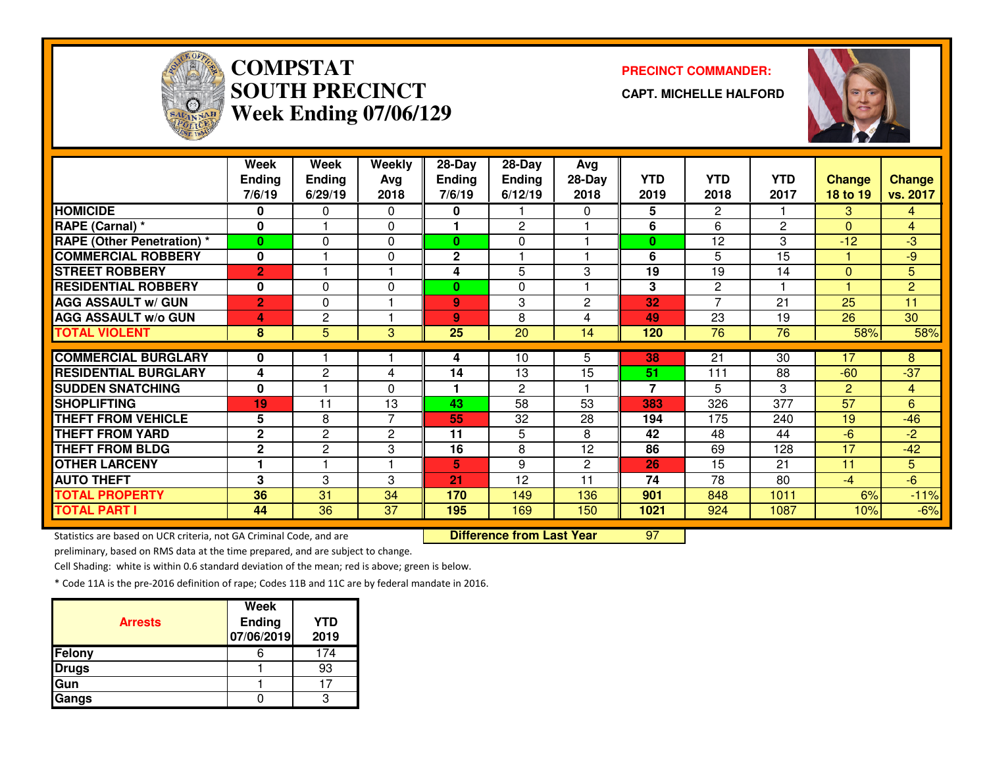

# **COMPSTATSOUTH PRECINCTWeek Ending 07/06/129**

#### **PRECINCT COMMANDER:**

**CAPT. MICHELLE HALFORD**



|                                   | Week           | Week           | Weekly         | 28-Day        | 28-Day         | Avg            |                |                       |            |                 |                |
|-----------------------------------|----------------|----------------|----------------|---------------|----------------|----------------|----------------|-----------------------|------------|-----------------|----------------|
|                                   | <b>Ending</b>  | <b>Ending</b>  | Avg            | <b>Ending</b> | <b>Ending</b>  | 28-Day         | <b>YTD</b>     | <b>YTD</b>            | <b>YTD</b> | <b>Change</b>   | <b>Change</b>  |
|                                   | 7/6/19         | 6/29/19        | 2018           | 7/6/19        | 6/12/19        | 2018           | 2019           | 2018                  | 2017       | 18 to 19        | vs. 2017       |
| <b>HOMICIDE</b>                   | 0              | 0              | 0              | 0             |                | 0              | 5              | $\overline{2}$        |            | 3               | 4              |
| RAPE (Carnal) *                   | $\bf{0}$       |                | $\Omega$       |               | $\overline{2}$ |                | 6              | 6                     | 2          | $\Omega$        | $\overline{4}$ |
| <b>RAPE (Other Penetration)</b> * | $\bf{0}$       | 0              | $\Omega$       | $\bf{0}$      | $\Omega$       |                | $\bf{0}$       | 12                    | 3          | $-12$           | $-3$           |
| <b>COMMERCIAL ROBBERY</b>         | $\mathbf 0$    |                | $\mathbf 0$    | $\mathbf{2}$  |                |                | 6              | 5                     | 15         |                 | $-9$           |
| <b>STREET ROBBERY</b>             | $\overline{2}$ |                |                | 4             | 5              | 3              | 19             | 19                    | 14         | $\mathbf{0}$    | 5 <sub>5</sub> |
| <b>RESIDENTIAL ROBBERY</b>        | $\bf{0}$       | 0              | $\Omega$       | $\mathbf{0}$  | $\Omega$       |                | 3              | $\mathbf{2}^{\prime}$ |            |                 | $\overline{2}$ |
| <b>AGG ASSAULT w/ GUN</b>         | $\overline{2}$ | 0              |                | 9             | 3              | $\overline{2}$ | 32             | $\overline{ }$        | 21         | 25              | 11             |
| <b>AGG ASSAULT w/o GUN</b>        | 4              | $\overline{c}$ |                | 9             | 8              | 4              | 49             | 23                    | 19         | 26              | 30             |
| <b>TOTAL VIOLENT</b>              | 8              | 5              | 3              | 25            | 20             | 14             | 120            | 76                    | 76         | 58%             | 58%            |
|                                   |                |                |                |               |                |                |                |                       |            |                 |                |
| <b>COMMERCIAL BURGLARY</b>        | 0              |                |                | 4             | 10             | 5              | 38             | 21                    | 30         | 17              | 8              |
| <b>RESIDENTIAL BURGLARY</b>       | 4              | $\mathbf{2}$   | 4              | 14            | 13             | 15             | 51             | 111                   | 88         | $-60$           | $-37$          |
| <b>SUDDEN SNATCHING</b>           | $\mathbf 0$    |                | $\mathbf{0}$   |               | $\overline{2}$ |                | $\overline{7}$ | 5                     | 3          | $\overline{2}$  | $\overline{4}$ |
| <b>SHOPLIFTING</b>                | 19             | 11             | 13             | 43            | 58             | 53             | 383            | 326                   | 377        | $\overline{57}$ | 6              |
| <b>THEFT FROM VEHICLE</b>         | 5              | 8              | $\overline{7}$ | 55            | 32             | 28             | 194            | 175                   | 240        | 19              | $-46$          |
| <b>THEFT FROM YARD</b>            | $\overline{2}$ | $\mathbf{2}$   | 2              | 11            | 5              | 8              | 42             | 48                    | 44         | $-6$            | $-2$           |
| <b>THEFT FROM BLDG</b>            | $\mathbf{2}$   | $\mathbf{2}$   | 3              | 16            | 8              | 12             | 86             | 69                    | 128        | 17              | $-42$          |
| <b>OTHER LARCENY</b>              | 1              |                |                | 5             | 9              | $\overline{2}$ | 26             | 15                    | 21         | 11              | 5              |
| <b>AUTO THEFT</b>                 | 3              | 3              | 3              | 21            | 12             | 11             | 74             | 78                    | 80         | $-4$            | $-6$           |
| <b>TOTAL PROPERTY</b>             | 36             | 31             | 34             | 170           | 149            | 136            | 901            | 848                   | 1011       | 6%              | $-11%$         |
| <b>TOTAL PART I</b>               | 44             | 36             | 37             | 195           | 169            | 150            | 1021           | 924                   | 1087       | 10%             | $-6%$          |

Statistics are based on UCR criteria, not GA Criminal Code, and are **Difference from Last Year** 

<sup>97</sup>

preliminary, based on RMS data at the time prepared, and are subject to change.

Cell Shading: white is within 0.6 standard deviation of the mean; red is above; green is below.

| <b>Arrests</b> | Week<br><b>Ending</b><br>07/06/2019 | <b>YTD</b><br>2019 |
|----------------|-------------------------------------|--------------------|
| Felony         |                                     | 174                |
| <b>Drugs</b>   |                                     | 93                 |
| Gun            |                                     |                    |
| Gangs          |                                     |                    |